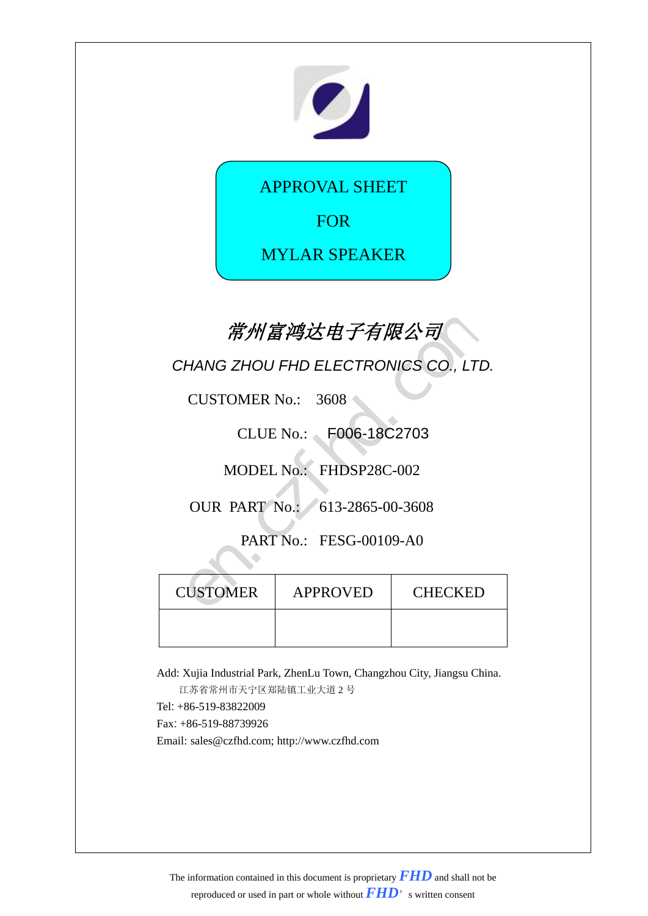

APPROVAL SHEET

FOR

MYLAR SPEAKER

# **常州富鸿达电子有限公司**

| 常州富鸿达电子有限公司                                   |                                      |  |  |  |  |
|-----------------------------------------------|--------------------------------------|--|--|--|--|
|                                               | CHANG ZHOU FHD ELECTRONICS CO., LTD. |  |  |  |  |
| <b>CUSTOMER No.: 3608</b>                     |                                      |  |  |  |  |
|                                               | CLUE No.: F006-18C2703               |  |  |  |  |
|                                               | MODEL No.: FHDSP28C-002              |  |  |  |  |
| OUR PART No.: 613-2865-00-3608                |                                      |  |  |  |  |
| PART No.: FESG-00109-A0                       |                                      |  |  |  |  |
| <b>CUSTOMER</b><br><b>APPROVED</b><br>CHECKED |                                      |  |  |  |  |
|                                               |                                      |  |  |  |  |

Add: Xujia Industrial Park, ZhenLu Town, Changzhou City, Jiangsu China. 江苏省常州市天宁区郑陆镇工业大道 2 号 Tel: +86-519-83822009

Fax: +86-519-88739926

Email: sales@czfhd.com; http://www.czfhd.com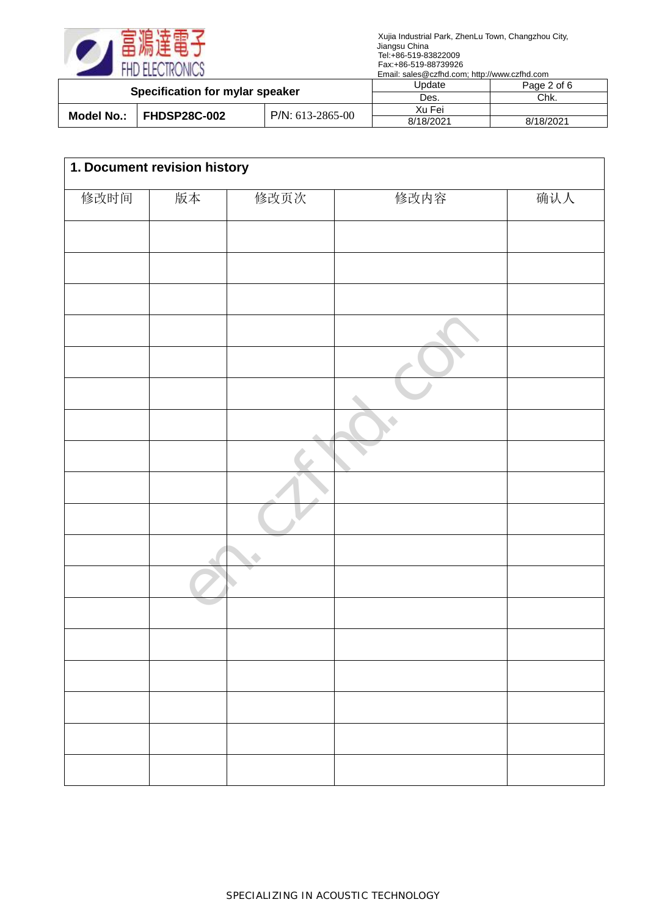

| <b>Specification for mylar speaker</b> |  |                    | Update    | Page 2 of 6 |
|----------------------------------------|--|--------------------|-----------|-------------|
|                                        |  | Des.               | Chk.      |             |
| Model No.: FHDSP28C-002                |  | $P/N: 613-2865-00$ | Xu Fei    |             |
|                                        |  | 8/18/2021          | 8/18/2021 |             |

| 1. Document revision history |    |      |      |     |  |
|------------------------------|----|------|------|-----|--|
| 修改时间                         | 版本 | 修改页次 | 修改内容 | 确认人 |  |
|                              |    |      |      |     |  |
|                              |    |      |      |     |  |
|                              |    |      |      |     |  |
|                              |    |      |      |     |  |
|                              |    |      |      |     |  |
|                              |    |      |      |     |  |
|                              |    |      | O    |     |  |
|                              |    |      |      |     |  |
|                              |    |      |      |     |  |
|                              |    |      |      |     |  |
|                              |    |      |      |     |  |
|                              |    |      |      |     |  |
|                              |    |      |      |     |  |
|                              |    |      |      |     |  |
|                              |    |      |      |     |  |
|                              |    |      |      |     |  |
|                              |    |      |      |     |  |
|                              |    |      |      |     |  |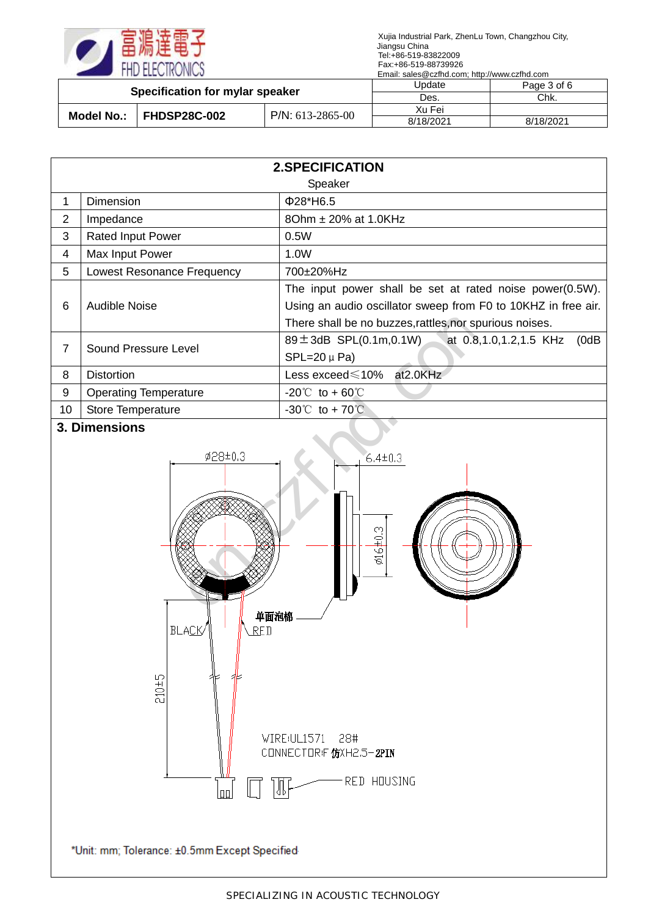

| Specification for mylar speaker   |                     | Update    | Page 3 of 6 |
|-----------------------------------|---------------------|-----------|-------------|
|                                   |                     | Des.      | Chk.        |
| <b>FHDSP28C-002</b><br>Model No.: | $P/N$ : 613-2865-00 | Xu Fei    |             |
|                                   |                     | 8/18/2021 | 8/18/2021   |

|                | <b>2.SPECIFICATION</b>            |                                                                                     |  |  |  |
|----------------|-----------------------------------|-------------------------------------------------------------------------------------|--|--|--|
|                |                                   | Speaker                                                                             |  |  |  |
| 1              | Dimension                         | $Φ28*H6.5$                                                                          |  |  |  |
| $\overline{2}$ | Impedance                         | 80hm ± 20% at 1.0KHz                                                                |  |  |  |
| 3              | Rated Input Power                 | 0.5W                                                                                |  |  |  |
| 4              | Max Input Power                   | 1.0W                                                                                |  |  |  |
| 5              | <b>Lowest Resonance Frequency</b> | 700±20%Hz                                                                           |  |  |  |
|                | Audible Noise                     | The input power shall be set at rated noise power(0.5W).                            |  |  |  |
| 6              |                                   | Using an audio oscillator sweep from F0 to 10KHZ in free air.                       |  |  |  |
|                |                                   | There shall be no buzzes, rattles, nor spurious noises.                             |  |  |  |
| $\overline{7}$ | Sound Pressure Level              | $89 \pm 3$ dB SPL $(0.1 \text{m}, 0.1 \text{W})$<br>at 0.8,1.0,1.2,1.5 KHz<br>(0dB) |  |  |  |
|                |                                   | $SPL=20 \mu Pa$                                                                     |  |  |  |
| 8              | <b>Distortion</b>                 | Less exceed≤10% at2.0KHz                                                            |  |  |  |
| 9              | <b>Operating Temperature</b>      | $-20^{\circ}$ to + 60 °C                                                            |  |  |  |
| 10             | <b>Store Temperature</b>          | $-30^{\circ}$ to + 70 $\circ$                                                       |  |  |  |

#### **3. Dimensions**

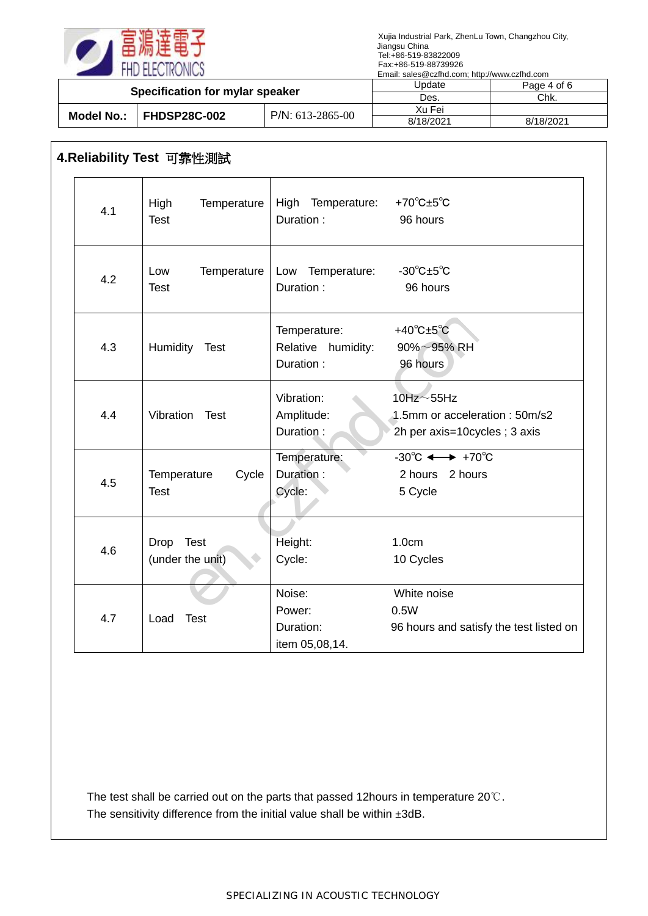

| Specification for mylar speaker   |                    | Update    | Page 4 of 6 |
|-----------------------------------|--------------------|-----------|-------------|
|                                   |                    | Des.      | Chk.        |
| <b>FHDSP28C-002</b><br>Model No.: | $P/N: 613-2865-00$ | Xu Fei    |             |
|                                   |                    | 8/18/2021 | 8/18/2021   |

# **4.Reliability Test** 可靠性測試

| 4.1 | High<br>Temperature<br><b>Test</b>  | High Temperature:<br>Duration:                  | +70 $\degree$ C $\pm$ 5 $\degree$ C<br>96 hours                                      |
|-----|-------------------------------------|-------------------------------------------------|--------------------------------------------------------------------------------------|
| 4.2 | Temperature<br>Low<br><b>Test</b>   | Low Temperature:<br>Duration:                   | $-30^{\circ}$ C $\pm 5^{\circ}$ C<br>96 hours                                        |
| 4.3 | Humidity Test                       | Temperature:<br>Relative humidity:<br>Duration: | +40 $^{\circ}$ C $\pm$ 5 $^{\circ}$ C<br>$90\% \sim 95\%$ RH<br>96 hours             |
| 4.4 | Vibration Test                      | Vibration:<br>Amplitude:<br>Duration:           | $10$ Hz $\sim$ 55Hz<br>1.5mm or acceleration: 50m/s2<br>2h per axis=10cycles; 3 axis |
| 4.5 | Cycle<br>Temperature<br><b>Test</b> | Temperature:<br>Duration:<br>Cycle:             | $-30^{\circ}$ C $\longleftrightarrow$ +70 $^{\circ}$ C<br>2 hours 2 hours<br>5 Cycle |
| 4.6 | Drop Test<br>(under the unit)       | Height:<br>Cycle:                               | 1.0cm<br>10 Cycles                                                                   |
| 4.7 | Load<br><b>Test</b>                 | Noise:<br>Power:<br>Duration:<br>item 05,08,14. | White noise<br>0.5W<br>96 hours and satisfy the test listed on                       |

The test shall be carried out on the parts that passed 12hours in temperature 20℃. The sensitivity difference from the initial value shall be within  $\pm 3$ dB.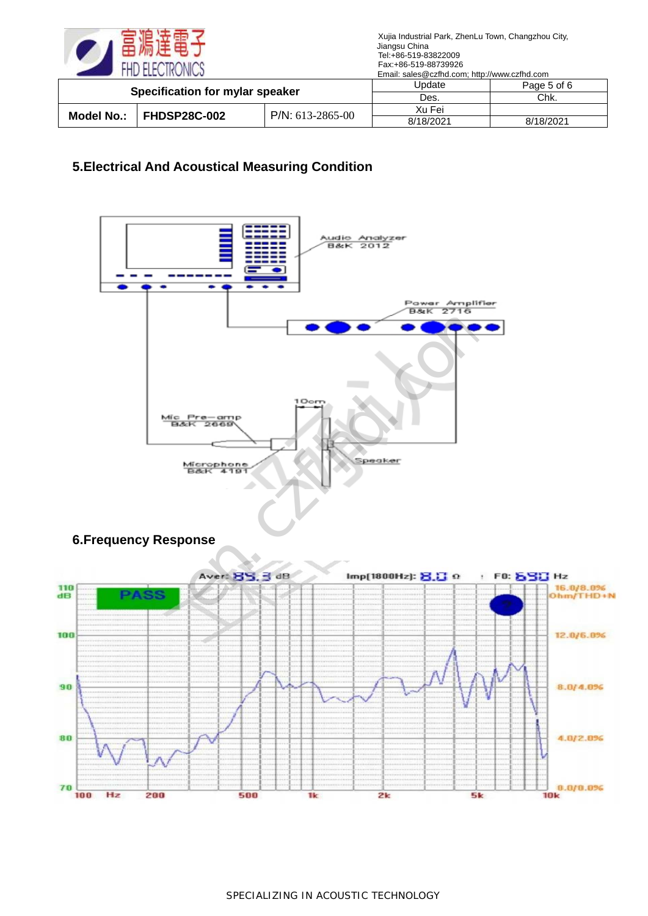

| Specification for mylar speaker |                     | Jpdate | Page 5 of 6 |           |
|---------------------------------|---------------------|--------|-------------|-----------|
|                                 |                     | Des.   | Chk.        |           |
| Model No.:                      | <b>FHDSP28C-002</b> |        | Xu Fei      |           |
|                                 | $P/N$ : 613-2865-00 |        | 8/18/2021   | 8/18/2021 |

### **5.Electrical And Acoustical Measuring Condition**